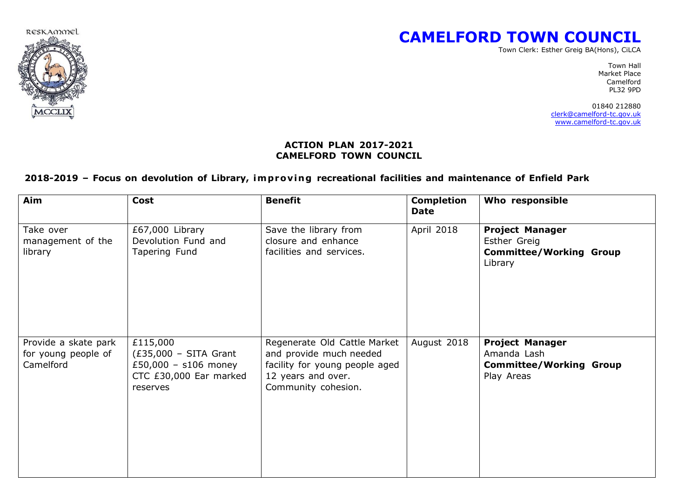

# **CAMELFORD TOWN COUNCIL**

Town Clerk: Esther Greig BA(Hons), CiLCA

Town Hall Market Place Camelford PL32 9PD

 01840 212880 [clerk@camelford-tc.gov.uk](mailto:clerk@camelford-tc.gov.uk) [www.camelford-tc.gov.uk](http://www.camelfordtown.net/) هند المستخدم المستخدم المستخدم المستخدم المستخدم المستخدم المستخدم المستخدم المستخدم ا

#### **ACTION PLAN 2017-2021 CAMELFORD TOWN COUNCIL**

#### **2018-2019 – Focus on devolution of Library, improv i ng recreational facilities and maintenance of Enfield Park**

| Aim                                                      | Cost                                                                                              | <b>Benefit</b>                                                                                                                         | <b>Completion</b><br><b>Date</b> | Who responsible                                                                       |
|----------------------------------------------------------|---------------------------------------------------------------------------------------------------|----------------------------------------------------------------------------------------------------------------------------------------|----------------------------------|---------------------------------------------------------------------------------------|
| Take over<br>management of the<br>library                | £67,000 Library<br>Devolution Fund and<br>Tapering Fund                                           | Save the library from<br>closure and enhance<br>facilities and services.                                                               | April 2018                       | <b>Project Manager</b><br>Esther Greig<br><b>Committee/Working Group</b><br>Library   |
| Provide a skate park<br>for young people of<br>Camelford | £115,000<br>$(£35,000 - SITA$ Grant<br>£50,000 - s106 money<br>CTC £30,000 Ear marked<br>reserves | Regenerate Old Cattle Market<br>and provide much needed<br>facility for young people aged<br>12 years and over.<br>Community cohesion. | August 2018                      | <b>Project Manager</b><br>Amanda Lash<br><b>Committee/Working Group</b><br>Play Areas |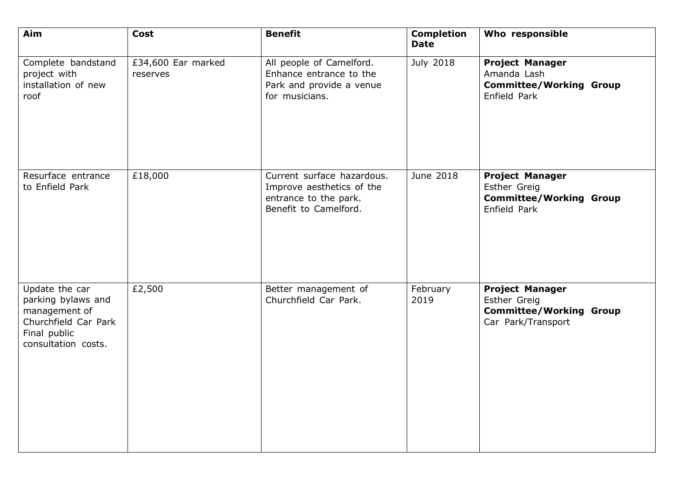| Aim                                                                                                                  | Cost                           | <b>Benefit</b>                                                                                            | <b>Completion</b><br><b>Date</b> | Who responsible                                                                                |
|----------------------------------------------------------------------------------------------------------------------|--------------------------------|-----------------------------------------------------------------------------------------------------------|----------------------------------|------------------------------------------------------------------------------------------------|
| Complete bandstand<br>project with<br>installation of new<br>roof                                                    | £34,600 Ear marked<br>reserves | All people of Camelford.<br>Enhance entrance to the<br>Park and provide a venue<br>for musicians.         | July 2018                        | <b>Project Manager</b><br>Amanda Lash<br><b>Committee/Working Group</b><br>Enfield Park        |
| Resurface entrance<br>to Enfield Park                                                                                | £18,000                        | Current surface hazardous.<br>Improve aesthetics of the<br>entrance to the park.<br>Benefit to Camelford. | June 2018                        | <b>Project Manager</b><br>Esther Greig<br><b>Committee/Working Group</b><br>Enfield Park       |
| Update the car<br>parking bylaws and<br>management of<br>Churchfield Car Park<br>Final public<br>consultation costs. | £2,500                         | Better management of<br>Churchfield Car Park.                                                             | February<br>2019                 | <b>Project Manager</b><br>Esther Greig<br><b>Committee/Working Group</b><br>Car Park/Transport |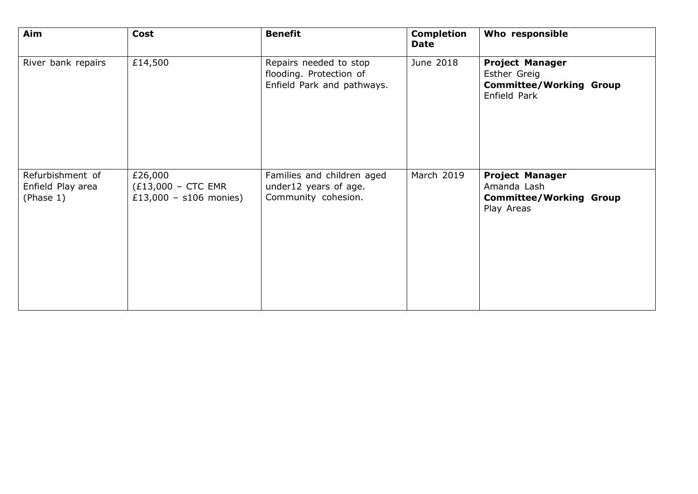| Aim                                                | Cost                                                         | <b>Benefit</b>                                                                  | <b>Completion</b><br><b>Date</b> | Who responsible                                                                          |
|----------------------------------------------------|--------------------------------------------------------------|---------------------------------------------------------------------------------|----------------------------------|------------------------------------------------------------------------------------------|
| River bank repairs                                 | £14,500                                                      | Repairs needed to stop<br>flooding. Protection of<br>Enfield Park and pathways. | June 2018                        | <b>Project Manager</b><br>Esther Greig<br><b>Committee/Working Group</b><br>Enfield Park |
| Refurbishment of<br>Enfield Play area<br>(Phase 1) | £26,000<br>$(£13,000 - CTC EMR)$<br>£13,000 - $s106$ monies) | Families and children aged<br>under12 years of age.<br>Community cohesion.      | March 2019                       | <b>Project Manager</b><br>Amanda Lash<br><b>Committee/Working Group</b><br>Play Areas    |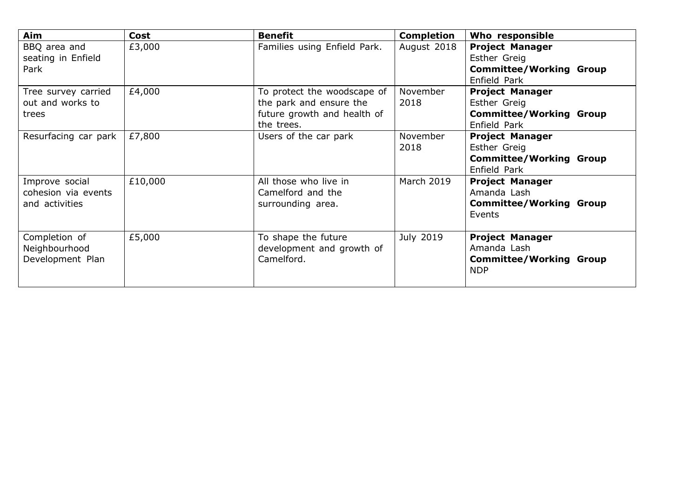| Aim                  | Cost    | <b>Benefit</b>               | <b>Completion</b> | Who responsible                |
|----------------------|---------|------------------------------|-------------------|--------------------------------|
| BBQ area and         | £3,000  | Families using Enfield Park. | August 2018       | <b>Project Manager</b>         |
| seating in Enfield   |         |                              |                   | Esther Greig                   |
| Park                 |         |                              |                   | <b>Committee/Working Group</b> |
|                      |         |                              |                   | Enfield Park                   |
| Tree survey carried  | £4,000  | To protect the woodscape of  | November          | <b>Project Manager</b>         |
| out and works to     |         | the park and ensure the      | 2018              | Esther Greig                   |
| trees                |         | future growth and health of  |                   | <b>Committee/Working Group</b> |
|                      |         | the trees.                   |                   | Enfield Park                   |
| Resurfacing car park | £7,800  | Users of the car park        | November          | <b>Project Manager</b>         |
|                      |         |                              | 2018              | Esther Greig                   |
|                      |         |                              |                   | <b>Committee/Working Group</b> |
|                      |         |                              |                   | Enfield Park                   |
| Improve social       | £10,000 | All those who live in        | <b>March 2019</b> | <b>Project Manager</b>         |
| cohesion via events  |         | Camelford and the            |                   | Amanda Lash                    |
| and activities       |         | surrounding area.            |                   | <b>Committee/Working Group</b> |
|                      |         |                              |                   | Events                         |
|                      |         |                              |                   |                                |
| Completion of        | £5,000  | To shape the future          | July 2019         | <b>Project Manager</b>         |
| Neighbourhood        |         | development and growth of    |                   | Amanda Lash                    |
| Development Plan     |         | Camelford.                   |                   | <b>Committee/Working Group</b> |
|                      |         |                              |                   | <b>NDP</b>                     |
|                      |         |                              |                   |                                |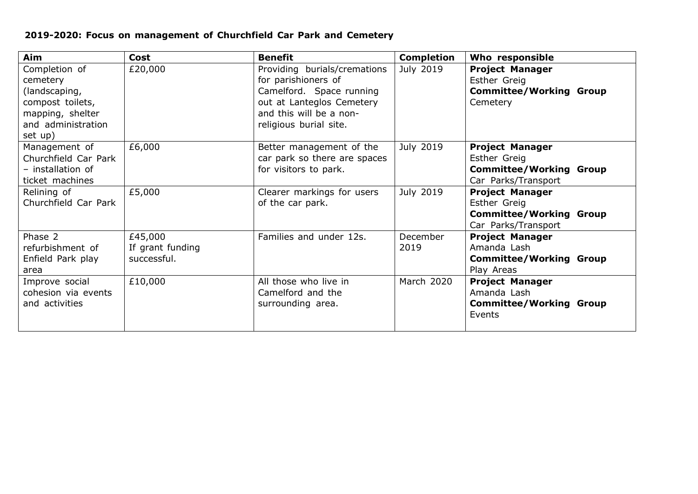## **2019-2020: Focus on management of Churchfield Car Park and Cemetery**

| Aim                                                                                                                 | <b>Cost</b>                                | <b>Benefit</b>                                                                                                                                                    | <b>Completion</b> | Who responsible                                                                                        |
|---------------------------------------------------------------------------------------------------------------------|--------------------------------------------|-------------------------------------------------------------------------------------------------------------------------------------------------------------------|-------------------|--------------------------------------------------------------------------------------------------------|
| Completion of<br>cemetery<br>(landscaping,<br>compost toilets,<br>mapping, shelter<br>and administration<br>set up) | £20,000                                    | Providing burials/cremations<br>for parishioners of<br>Camelford. Space running<br>out at Lanteglos Cemetery<br>and this will be a non-<br>religious burial site. | July 2019         | <b>Project Manager</b><br>Esther Greig<br><b>Committee/Working Group</b><br>Cemetery                   |
| Management of<br>Churchfield Car Park<br>- installation of<br>ticket machines                                       | £6,000                                     | Better management of the<br>car park so there are spaces<br>for visitors to park.                                                                                 | July 2019         | <b>Project Manager</b><br>Esther Greig<br><b>Committee/Working Group</b><br>Car Parks/Transport        |
| Relining of<br>Churchfield Car Park                                                                                 | £5,000                                     | Clearer markings for users<br>of the car park.                                                                                                                    | July 2019         | <b>Project Manager</b><br><b>Esther Greig</b><br><b>Committee/Working Group</b><br>Car Parks/Transport |
| Phase 2<br>refurbishment of<br>Enfield Park play<br>area                                                            | £45,000<br>If grant funding<br>successful. | Families and under 12s.                                                                                                                                           | December<br>2019  | <b>Project Manager</b><br>Amanda Lash<br><b>Committee/Working Group</b><br>Play Areas                  |
| Improve social<br>cohesion via events<br>and activities                                                             | £10,000                                    | All those who live in<br>Camelford and the<br>surrounding area.                                                                                                   | March 2020        | <b>Project Manager</b><br>Amanda Lash<br><b>Committee/Working Group</b><br>Events                      |